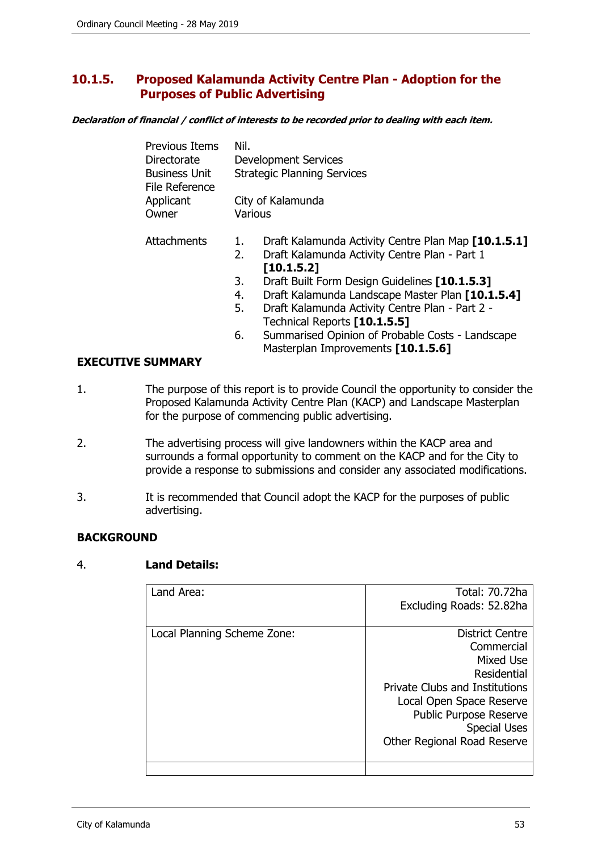# **10.1.5. Proposed Kalamunda Activity Centre Plan - Adoption for the Purposes of Public Advertising**

**Declaration of financial / conflict of interests to be recorded prior to dealing with each item.** 

| <b>Previous Items</b><br>Directorate   | Nil.     | <b>Development Services</b>                                                                                        |
|----------------------------------------|----------|--------------------------------------------------------------------------------------------------------------------|
| <b>Business Unit</b><br>File Reference |          | <b>Strategic Planning Services</b>                                                                                 |
| Applicant                              |          | City of Kalamunda                                                                                                  |
| Owner                                  | Various  |                                                                                                                    |
| <b>Attachments</b>                     | ı.<br>2. | Draft Kalamunda Activity Centre Plan Map [10.1.5.1]<br>Draft Kalamunda Activity Centre Plan - Part 1<br>[10.1.5.2] |
|                                        | 3.       | Draft Built Form Design Guidelines [10.1.5.3]                                                                      |
|                                        | 4.       | Draft Kalamunda Landscape Master Plan [10.1.5.4]                                                                   |
|                                        | 5.       | Draft Kalamunda Activity Centre Plan - Part 2 -                                                                    |
|                                        |          | Technical Reports [10.1.5.5]                                                                                       |
|                                        | 6.       | Summarised Opinion of Probable Costs - Landscape                                                                   |

Masterplan Improvements **[10.1.5.6]**

## **EXECUTIVE SUMMARY**

- 1. The purpose of this report is to provide Council the opportunity to consider the Proposed Kalamunda Activity Centre Plan (KACP) and Landscape Masterplan for the purpose of commencing public advertising.
- 2. The advertising process will give landowners within the KACP area and surrounds a formal opportunity to comment on the KACP and for the City to provide a response to submissions and consider any associated modifications.
- 3. It is recommended that Council adopt the KACP for the purposes of public advertising.

# **BACKGROUND**

#### 4. **Land Details:**

| Land Area:                  | Total: 70.72ha                        |
|-----------------------------|---------------------------------------|
|                             | Excluding Roads: 52.82ha              |
|                             |                                       |
| Local Planning Scheme Zone: | <b>District Centre</b>                |
|                             | Commercial                            |
|                             | Mixed Use                             |
|                             | Residential                           |
|                             | <b>Private Clubs and Institutions</b> |
|                             | Local Open Space Reserve              |
|                             | Public Purpose Reserve                |
|                             | <b>Special Uses</b>                   |
|                             | Other Regional Road Reserve           |
|                             |                                       |
|                             |                                       |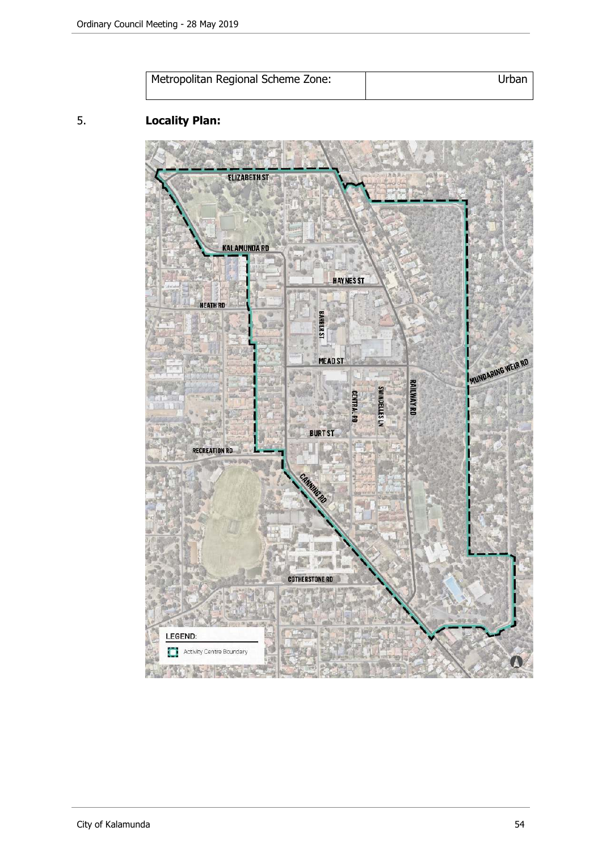| Metropolitan Regional Scheme Zone: | Urbar |
|------------------------------------|-------|
|                                    |       |

# 5. **Locality Plan:**

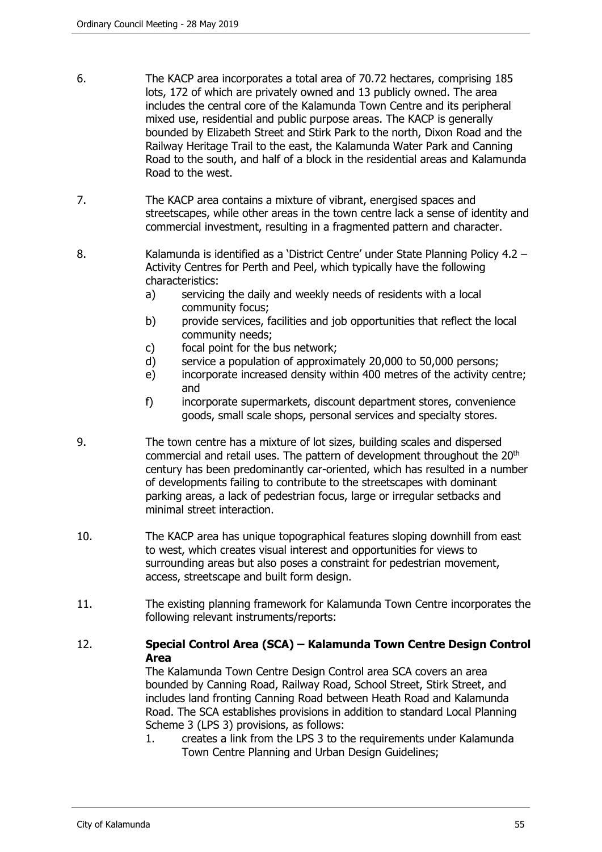- 6. The KACP area incorporates a total area of 70.72 hectares, comprising 185 lots, 172 of which are privately owned and 13 publicly owned. The area includes the central core of the Kalamunda Town Centre and its peripheral mixed use, residential and public purpose areas. The KACP is generally bounded by Elizabeth Street and Stirk Park to the north, Dixon Road and the Railway Heritage Trail to the east, the Kalamunda Water Park and Canning Road to the south, and half of a block in the residential areas and Kalamunda Road to the west.
- 7. The KACP area contains a mixture of vibrant, energised spaces and streetscapes, while other areas in the town centre lack a sense of identity and commercial investment, resulting in a fragmented pattern and character.
- 8. Kalamunda is identified as a 'District Centre' under State Planning Policy 4.2 Activity Centres for Perth and Peel, which typically have the following characteristics:
	- a) servicing the daily and weekly needs of residents with a local community focus;
	- b) provide services, facilities and job opportunities that reflect the local community needs;
	- c) focal point for the bus network;
	- d) service a population of approximately 20,000 to 50,000 persons;
	- e) incorporate increased density within 400 metres of the activity centre; and
	- f) incorporate supermarkets, discount department stores, convenience goods, small scale shops, personal services and specialty stores.
- 9. The town centre has a mixture of lot sizes, building scales and dispersed commercial and retail uses. The pattern of development throughout the 20th century has been predominantly car-oriented, which has resulted in a number of developments failing to contribute to the streetscapes with dominant parking areas, a lack of pedestrian focus, large or irregular setbacks and minimal street interaction.
- 10. The KACP area has unique topographical features sloping downhill from east to west, which creates visual interest and opportunities for views to surrounding areas but also poses a constraint for pedestrian movement, access, streetscape and built form design.
- 11. The existing planning framework for Kalamunda Town Centre incorporates the following relevant instruments/reports:
- 12. **Special Control Area (SCA) Kalamunda Town Centre Design Control Area**

The Kalamunda Town Centre Design Control area SCA covers an area bounded by Canning Road, Railway Road, School Street, Stirk Street, and includes land fronting Canning Road between Heath Road and Kalamunda Road. The SCA establishes provisions in addition to standard Local Planning Scheme 3 (LPS 3) provisions, as follows:

1. creates a link from the LPS 3 to the requirements under Kalamunda Town Centre Planning and Urban Design Guidelines;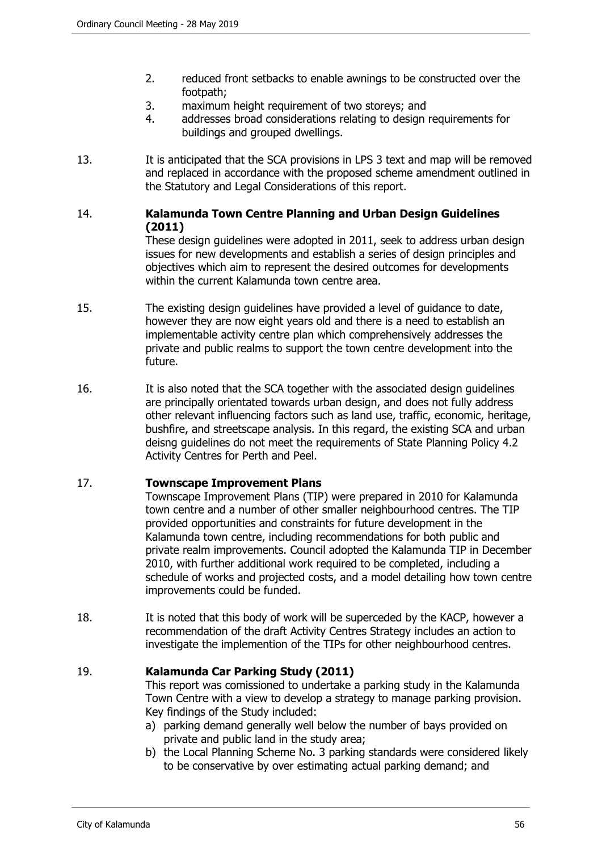- 2. reduced front setbacks to enable awnings to be constructed over the footpath;
- 3. maximum height requirement of two storeys; and
- 4. addresses broad considerations relating to design requirements for buildings and grouped dwellings.
- 13. It is anticipated that the SCA provisions in LPS 3 text and map will be removed and replaced in accordance with the proposed scheme amendment outlined in the Statutory and Legal Considerations of this report.

# 14. **Kalamunda Town Centre Planning and Urban Design Guidelines (2011)**

These design guidelines were adopted in 2011, seek to address urban design issues for new developments and establish a series of design principles and objectives which aim to represent the desired outcomes for developments within the current Kalamunda town centre area.

- 15. The existing design guidelines have provided a level of guidance to date, however they are now eight years old and there is a need to establish an implementable activity centre plan which comprehensively addresses the private and public realms to support the town centre development into the future.
- 16. It is also noted that the SCA together with the associated design guidelines are principally orientated towards urban design, and does not fully address other relevant influencing factors such as land use, traffic, economic, heritage, bushfire, and streetscape analysis. In this regard, the existing SCA and urban deisng guidelines do not meet the requirements of State Planning Policy 4.2 Activity Centres for Perth and Peel.

# 17. **Townscape Improvement Plans**

Townscape Improvement Plans (TIP) were prepared in 2010 for Kalamunda town centre and a number of other smaller neighbourhood centres. The TIP provided opportunities and constraints for future development in the Kalamunda town centre, including recommendations for both public and private realm improvements. Council adopted the Kalamunda TIP in December 2010, with further additional work required to be completed, including a schedule of works and projected costs, and a model detailing how town centre improvements could be funded.

18. It is noted that this body of work will be superceded by the KACP, however a recommendation of the draft Activity Centres Strategy includes an action to investigate the implemention of the TIPs for other neighbourhood centres.

# 19. **Kalamunda Car Parking Study (2011)**

This report was comissioned to undertake a parking study in the Kalamunda Town Centre with a view to develop a strategy to manage parking provision. Key findings of the Study included:

- a) parking demand generally well below the number of bays provided on private and public land in the study area;
- b) the Local Planning Scheme No. 3 parking standards were considered likely to be conservative by over estimating actual parking demand; and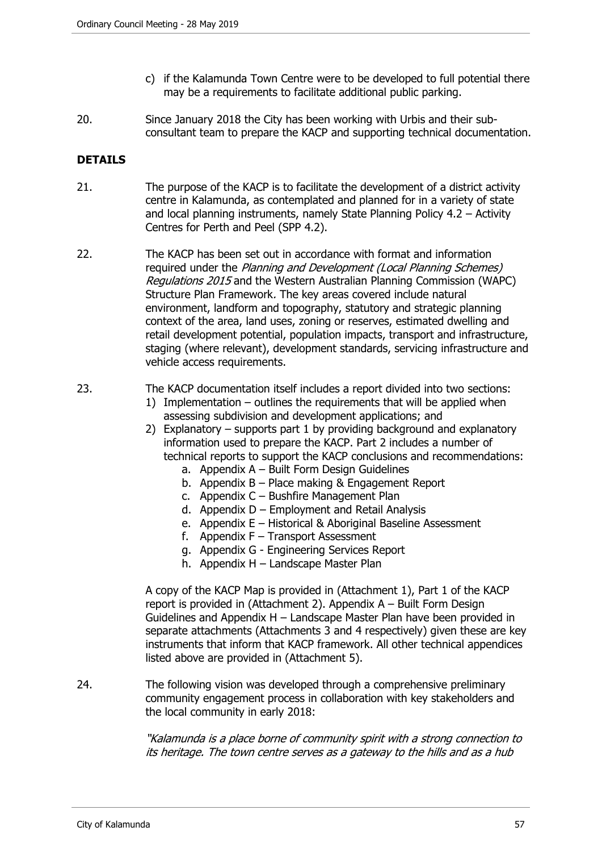- c) if the Kalamunda Town Centre were to be developed to full potential there may be a requirements to facilitate additional public parking.
- 20. Since January 2018 the City has been working with Urbis and their subconsultant team to prepare the KACP and supporting technical documentation.

# **DETAILS**

- 21. The purpose of the KACP is to facilitate the development of a district activity centre in Kalamunda, as contemplated and planned for in a variety of state and local planning instruments, namely State Planning Policy 4.2 – Activity Centres for Perth and Peel (SPP 4.2).
- 22. The KACP has been set out in accordance with format and information required under the Planning and Development (Local Planning Schemes) Regulations 2015 and the Western Australian Planning Commission (WAPC) Structure Plan Framework. The key areas covered include natural environment, landform and topography, statutory and strategic planning context of the area, land uses, zoning or reserves, estimated dwelling and retail development potential, population impacts, transport and infrastructure, staging (where relevant), development standards, servicing infrastructure and vehicle access requirements.
- 23. The KACP documentation itself includes a report divided into two sections:
	- 1) Implementation outlines the requirements that will be applied when assessing subdivision and development applications; and
	- 2) Explanatory supports part 1 by providing background and explanatory information used to prepare the KACP. Part 2 includes a number of technical reports to support the KACP conclusions and recommendations:
		- a. Appendix A Built Form Design Guidelines
		- b. Appendix B Place making & Engagement Report
		- c. Appendix C Bushfire Management Plan
		- d. Appendix D Employment and Retail Analysis
		- e. Appendix E Historical & Aboriginal Baseline Assessment
		- f. Appendix  $F -$  Transport Assessment
		- g. Appendix G Engineering Services Report
		- h. Appendix H Landscape Master Plan

A copy of the KACP Map is provided in (Attachment 1), Part 1 of the KACP report is provided in (Attachment 2). Appendix A – Built Form Design Guidelines and Appendix H – Landscape Master Plan have been provided in separate attachments (Attachments 3 and 4 respectively) given these are key instruments that inform that KACP framework. All other technical appendices listed above are provided in (Attachment 5).

24. The following vision was developed through a comprehensive preliminary community engagement process in collaboration with key stakeholders and the local community in early 2018:

> "Kalamunda is a place borne of community spirit with a strong connection to its heritage. The town centre serves as a gateway to the hills and as a hub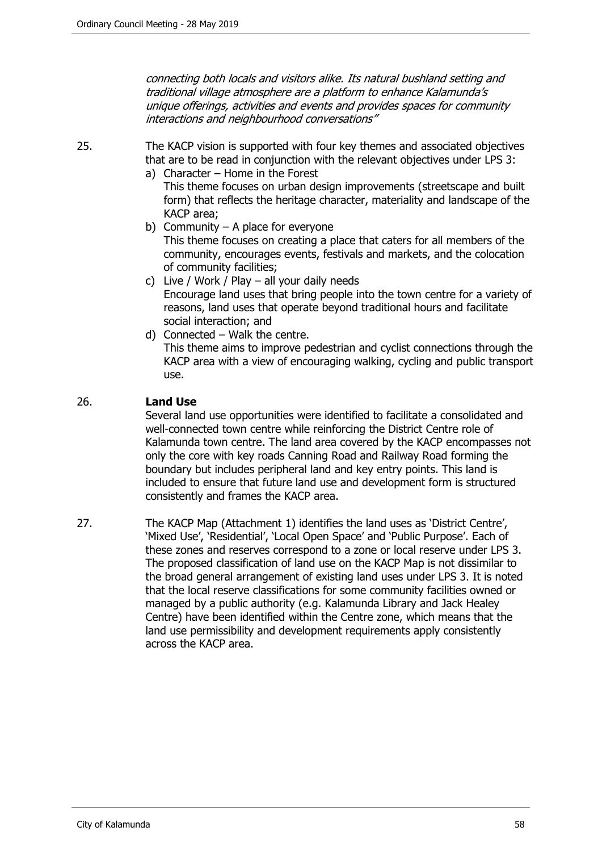connecting both locals and visitors alike. Its natural bushland setting and traditional village atmosphere are a platform to enhance Kalamunda's unique offerings, activities and events and provides spaces for community interactions and neighbourhood conversations"

25. The KACP vision is supported with four key themes and associated objectives that are to be read in conjunction with the relevant objectives under LPS 3:

- a) Character Home in the Forest This theme focuses on urban design improvements (streetscape and built form) that reflects the heritage character, materiality and landscape of the KACP area;
- b) Community  $-$  A place for everyone This theme focuses on creating a place that caters for all members of the community, encourages events, festivals and markets, and the colocation of community facilities;
- c) Live / Work / Play all your daily needs Encourage land uses that bring people into the town centre for a variety of reasons, land uses that operate beyond traditional hours and facilitate social interaction; and
- d) Connected Walk the centre. This theme aims to improve pedestrian and cyclist connections through the KACP area with a view of encouraging walking, cycling and public transport use.

## 26. **Land Use**

Several land use opportunities were identified to facilitate a consolidated and well-connected town centre while reinforcing the District Centre role of Kalamunda town centre. The land area covered by the KACP encompasses not only the core with key roads Canning Road and Railway Road forming the boundary but includes peripheral land and key entry points. This land is included to ensure that future land use and development form is structured consistently and frames the KACP area.

27. The KACP Map (Attachment 1) identifies the land uses as 'District Centre', 'Mixed Use', 'Residential', 'Local Open Space' and 'Public Purpose'. Each of these zones and reserves correspond to a zone or local reserve under LPS 3. The proposed classification of land use on the KACP Map is not dissimilar to the broad general arrangement of existing land uses under LPS 3. It is noted that the local reserve classifications for some community facilities owned or managed by a public authority (e.g. Kalamunda Library and Jack Healey Centre) have been identified within the Centre zone, which means that the land use permissibility and development requirements apply consistently across the KACP area.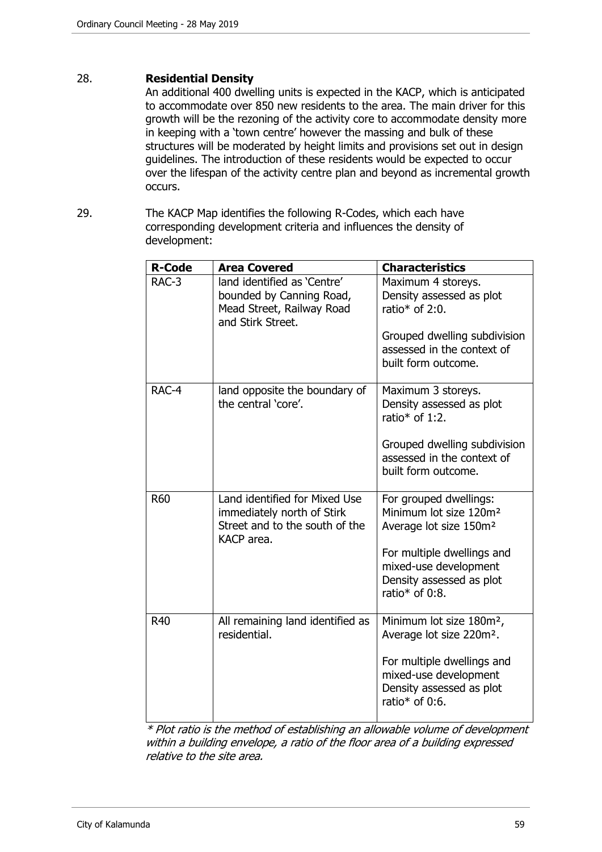### 28. **Residential Density**

An additional 400 dwelling units is expected in the KACP, which is anticipated to accommodate over 850 new residents to the area. The main driver for this growth will be the rezoning of the activity core to accommodate density more in keeping with a 'town centre' however the massing and bulk of these structures will be moderated by height limits and provisions set out in design guidelines. The introduction of these residents would be expected to occur over the lifespan of the activity centre plan and beyond as incremental growth occurs.

29. The KACP Map identifies the following R-Codes, which each have corresponding development criteria and influences the density of development:

| <b>R-Code</b> | <b>Area Covered</b>                                                                                         | <b>Characteristics</b>                                                                                                                                                                                     |
|---------------|-------------------------------------------------------------------------------------------------------------|------------------------------------------------------------------------------------------------------------------------------------------------------------------------------------------------------------|
| RAC-3         | land identified as 'Centre'<br>bounded by Canning Road,<br>Mead Street, Railway Road<br>and Stirk Street.   | Maximum 4 storeys.<br>Density assessed as plot<br>ratio* of 2:0.<br>Grouped dwelling subdivision<br>assessed in the context of<br>built form outcome.                                                      |
| RAC-4         | land opposite the boundary of<br>the central 'core'.                                                        | Maximum 3 storeys.<br>Density assessed as plot<br>ratio* of 1:2.<br>Grouped dwelling subdivision<br>assessed in the context of<br>built form outcome.                                                      |
| <b>R60</b>    | Land identified for Mixed Use<br>immediately north of Stirk<br>Street and to the south of the<br>KACP area. | For grouped dwellings:<br>Minimum lot size 120m <sup>2</sup><br>Average lot size 150m <sup>2</sup><br>For multiple dwellings and<br>mixed-use development<br>Density assessed as plot<br>ratio* of $0:8$ . |
| R40           | All remaining land identified as<br>residential.                                                            | Minimum lot size 180m <sup>2</sup> ,<br>Average lot size 220m <sup>2</sup> .<br>For multiple dwellings and<br>mixed-use development<br>Density assessed as plot<br>ratio* of $0:6$ .                       |

\* Plot ratio is the method of establishing an allowable volume of development within a building envelope, a ratio of the floor area of a building expressed relative to the site area.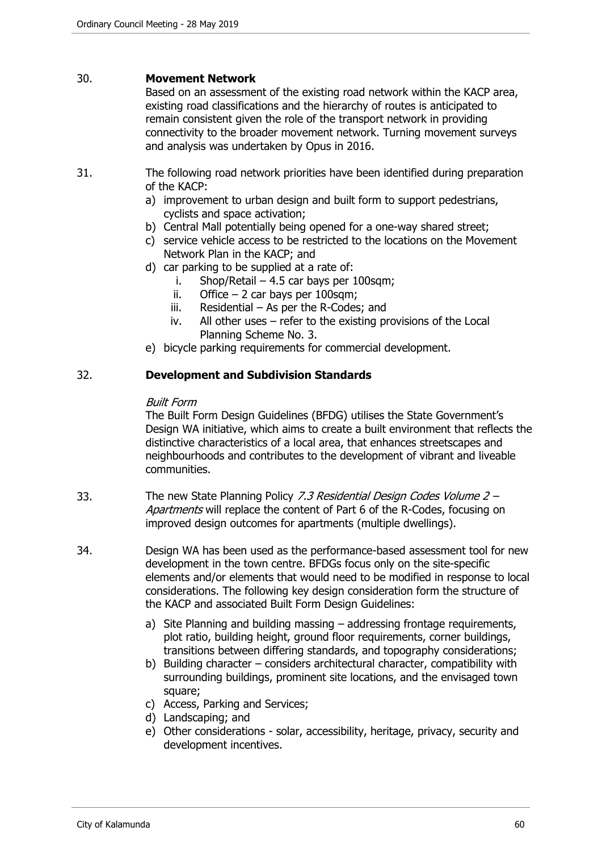#### 30. **Movement Network**

Based on an assessment of the existing road network within the KACP area, existing road classifications and the hierarchy of routes is anticipated to remain consistent given the role of the transport network in providing connectivity to the broader movement network. Turning movement surveys and analysis was undertaken by Opus in 2016.

- 31. The following road network priorities have been identified during preparation of the KACP:
	- a) improvement to urban design and built form to support pedestrians, cyclists and space activation;
	- b) Central Mall potentially being opened for a one-way shared street;
	- c) service vehicle access to be restricted to the locations on the Movement Network Plan in the KACP; and
	- d) car parking to be supplied at a rate of:
		- i. Shop/Retail 4.5 car bays per 100sqm;
		- ii. Office  $-2$  car bays per 100sqm;
		- iii. Residential  $-$  As per the R-Codes; and
		- iv. All other uses refer to the existing provisions of the Local Planning Scheme No. 3.
	- e) bicycle parking requirements for commercial development.

## 32. **Development and Subdivision Standards**

#### Built Form

The Built Form Design Guidelines (BFDG) utilises the State Government's Design WA initiative, which aims to create a built environment that reflects the distinctive characteristics of a local area, that enhances streetscapes and neighbourhoods and contributes to the development of vibrant and liveable communities.

- 33. The new State Planning Policy 7.3 Residential Design Codes Volume 2 Apartments will replace the content of Part 6 of the R-Codes, focusing on improved design outcomes for apartments (multiple dwellings).
- 34. Design WA has been used as the performance-based assessment tool for new development in the town centre. BFDGs focus only on the site-specific elements and/or elements that would need to be modified in response to local considerations. The following key design consideration form the structure of the KACP and associated Built Form Design Guidelines:
	- a) Site Planning and building massing addressing frontage requirements, plot ratio, building height, ground floor requirements, corner buildings, transitions between differing standards, and topography considerations;
	- b) Building character considers architectural character, compatibility with surrounding buildings, prominent site locations, and the envisaged town square;
	- c) Access, Parking and Services;
	- d) Landscaping; and
	- e) Other considerations solar, accessibility, heritage, privacy, security and development incentives.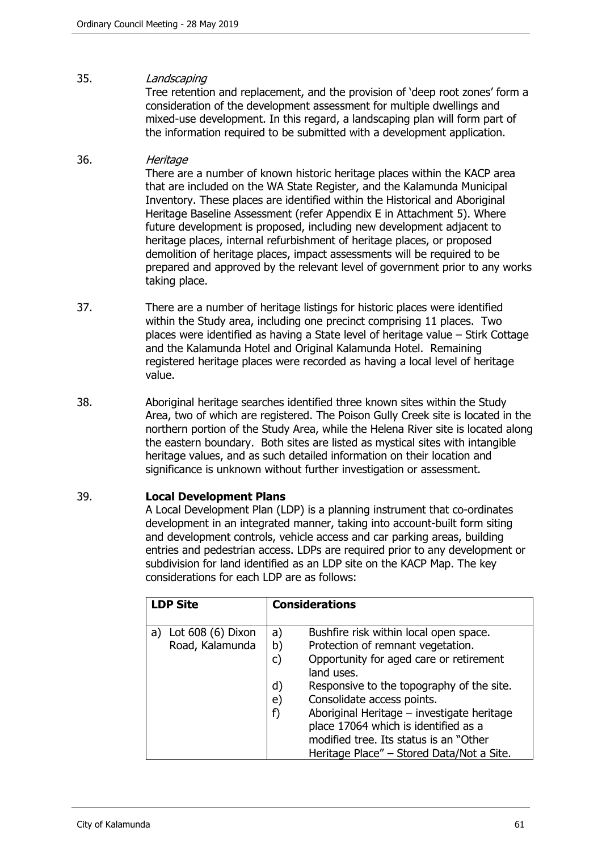# 35. Landscaping

Tree retention and replacement, and the provision of 'deep root zones' form a consideration of the development assessment for multiple dwellings and mixed-use development. In this regard, a landscaping plan will form part of the information required to be submitted with a development application.

# 36. Heritage

There are a number of known historic heritage places within the KACP area that are included on the WA State Register, and the Kalamunda Municipal Inventory. These places are identified within the Historical and Aboriginal Heritage Baseline Assessment (refer Appendix E in Attachment 5). Where future development is proposed, including new development adjacent to heritage places, internal refurbishment of heritage places, or proposed demolition of heritage places, impact assessments will be required to be prepared and approved by the relevant level of government prior to any works taking place.

- 37. There are a number of heritage listings for historic places were identified within the Study area, including one precinct comprising 11 places. Two places were identified as having a State level of heritage value – Stirk Cottage and the Kalamunda Hotel and Original Kalamunda Hotel. Remaining registered heritage places were recorded as having a local level of heritage value.
- 38. Aboriginal heritage searches identified three known sites within the Study Area, two of which are registered. The Poison Gully Creek site is located in the northern portion of the Study Area, while the Helena River site is located along the eastern boundary. Both sites are listed as mystical sites with intangible heritage values, and as such detailed information on their location and significance is unknown without further investigation or assessment.

#### 39. **Local Development Plans**

A Local Development Plan (LDP) is a planning instrument that co-ordinates development in an integrated manner, taking into account-built form siting and development controls, vehicle access and car parking areas, building entries and pedestrian access. LDPs are required prior to any development or subdivision for land identified as an LDP site on the KACP Map. The key considerations for each LDP are as follows:

| <b>LDP Site</b>          | <b>Considerations</b>                                                                    |  |
|--------------------------|------------------------------------------------------------------------------------------|--|
| Lot $608(6)$ Dixon<br>a) | Bushfire risk within local open space.<br>a)                                             |  |
| Road, Kalamunda          | Protection of remnant vegetation.<br>b)                                                  |  |
|                          | Opportunity for aged care or retirement<br>C)<br>land uses.                              |  |
|                          | Responsive to the topography of the site.<br>d)                                          |  |
|                          | Consolidate access points.<br>e)                                                         |  |
|                          | Aboriginal Heritage - investigate heritage<br>f)<br>place 17064 which is identified as a |  |
|                          | modified tree. Its status is an "Other                                                   |  |
|                          | Heritage Place" – Stored Data/Not a Site.                                                |  |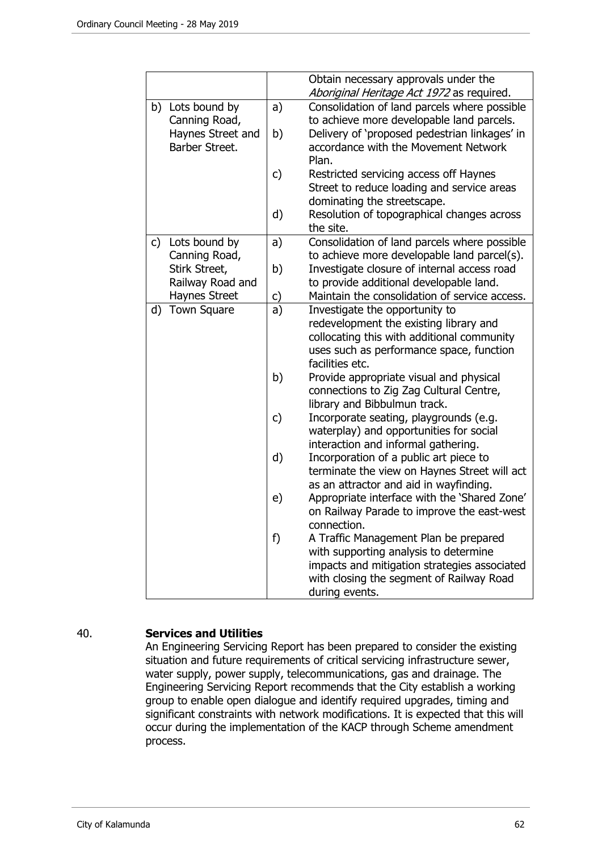|              |                    |              | Obtain necessary approvals under the<br>Aboriginal Heritage Act 1972 as required.        |
|--------------|--------------------|--------------|------------------------------------------------------------------------------------------|
|              | b) Lots bound by   | a)           | Consolidation of land parcels where possible                                             |
|              | Canning Road,      |              | to achieve more developable land parcels.                                                |
|              | Haynes Street and  | b)           | Delivery of 'proposed pedestrian linkages' in                                            |
|              | Barber Street.     |              | accordance with the Movement Network<br>Plan.                                            |
|              |                    | c)           | Restricted servicing access off Haynes                                                   |
|              |                    |              | Street to reduce loading and service areas                                               |
|              |                    |              | dominating the streetscape.                                                              |
|              |                    | d)           | Resolution of topographical changes across                                               |
|              |                    |              | the site.                                                                                |
| $\mathsf{C}$ | Lots bound by      | a)           | Consolidation of land parcels where possible                                             |
|              | Canning Road,      |              | to achieve more developable land parcel(s).                                              |
|              | Stirk Street,      | b)           | Investigate closure of internal access road                                              |
|              | Railway Road and   |              | to provide additional developable land.                                                  |
|              | Haynes Street      | c)           | Maintain the consolidation of service access.                                            |
| d)           | <b>Town Square</b> | a)           | Investigate the opportunity to                                                           |
|              |                    |              | redevelopment the existing library and                                                   |
|              |                    |              | collocating this with additional community                                               |
|              |                    |              | uses such as performance space, function<br>facilities etc.                              |
|              |                    | b)           | Provide appropriate visual and physical                                                  |
|              |                    |              | connections to Zig Zag Cultural Centre,                                                  |
|              |                    |              | library and Bibbulmun track.                                                             |
|              |                    | $\mathsf{C}$ | Incorporate seating, playgrounds (e.g.                                                   |
|              |                    |              | waterplay) and opportunities for social                                                  |
|              |                    |              | interaction and informal gathering.                                                      |
|              |                    | d)           | Incorporation of a public art piece to                                                   |
|              |                    |              | terminate the view on Haynes Street will act                                             |
|              |                    |              | as an attractor and aid in wayfinding.                                                   |
|              |                    | e)           | Appropriate interface with the 'Shared Zone'                                             |
|              |                    |              | on Railway Parade to improve the east-west                                               |
|              |                    |              | connection.                                                                              |
|              |                    | f)           | A Traffic Management Plan be prepared                                                    |
|              |                    |              | with supporting analysis to determine                                                    |
|              |                    |              | impacts and mitigation strategies associated<br>with closing the segment of Railway Road |
|              |                    |              | during events.                                                                           |
|              |                    |              |                                                                                          |

# 40. **Services and Utilities**

An Engineering Servicing Report has been prepared to consider the existing situation and future requirements of critical servicing infrastructure sewer, water supply, power supply, telecommunications, gas and drainage. The Engineering Servicing Report recommends that the City establish a working group to enable open dialogue and identify required upgrades, timing and significant constraints with network modifications. It is expected that this will occur during the implementation of the KACP through Scheme amendment process.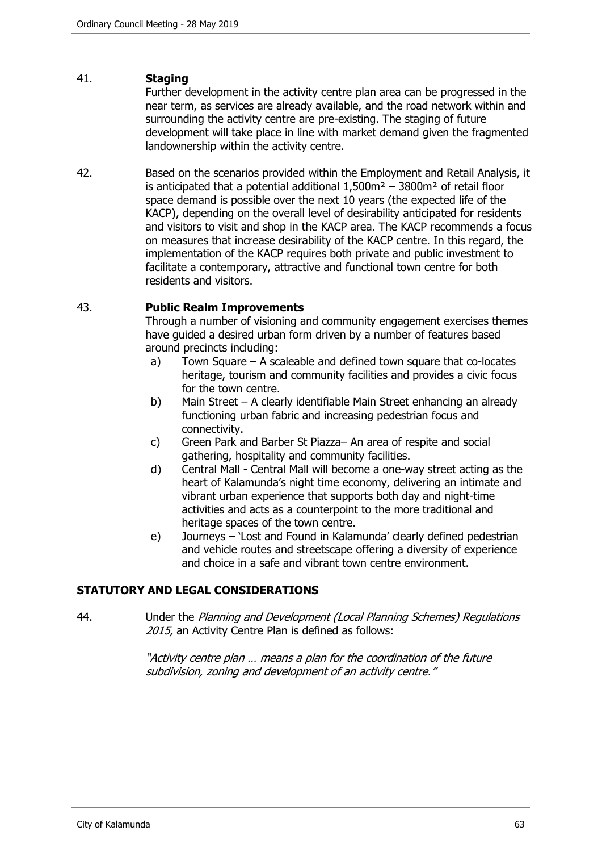# 41. **Staging**

Further development in the activity centre plan area can be progressed in the near term, as services are already available, and the road network within and surrounding the activity centre are pre-existing. The staging of future development will take place in line with market demand given the fragmented landownership within the activity centre.

42. Based on the scenarios provided within the Employment and Retail Analysis, it is anticipated that a potential additional  $1.500m^2 - 3800m^2$  of retail floor space demand is possible over the next 10 years (the expected life of the KACP), depending on the overall level of desirability anticipated for residents and visitors to visit and shop in the KACP area. The KACP recommends a focus on measures that increase desirability of the KACP centre. In this regard, the implementation of the KACP requires both private and public investment to facilitate a contemporary, attractive and functional town centre for both residents and visitors.

#### 43. **Public Realm Improvements**

Through a number of visioning and community engagement exercises themes have guided a desired urban form driven by a number of features based around precincts including:

- a) Town Square A scaleable and defined town square that co-locates heritage, tourism and community facilities and provides a civic focus for the town centre.
- b) Main Street A clearly identifiable Main Street enhancing an already functioning urban fabric and increasing pedestrian focus and connectivity.
- c) Green Park and Barber St Piazza– An area of respite and social gathering, hospitality and community facilities.
- d) Central Mall Central Mall will become a one-way street acting as the heart of Kalamunda's night time economy, delivering an intimate and vibrant urban experience that supports both day and night-time activities and acts as a counterpoint to the more traditional and heritage spaces of the town centre.
- e) Journeys 'Lost and Found in Kalamunda' clearly defined pedestrian and vehicle routes and streetscape offering a diversity of experience and choice in a safe and vibrant town centre environment.

# **STATUTORY AND LEGAL CONSIDERATIONS**

44. Under the Planning and Development (Local Planning Schemes) Regulations 2015, an Activity Centre Plan is defined as follows:

> "Activity centre plan … means a plan for the coordination of the future subdivision, zoning and development of an activity centre."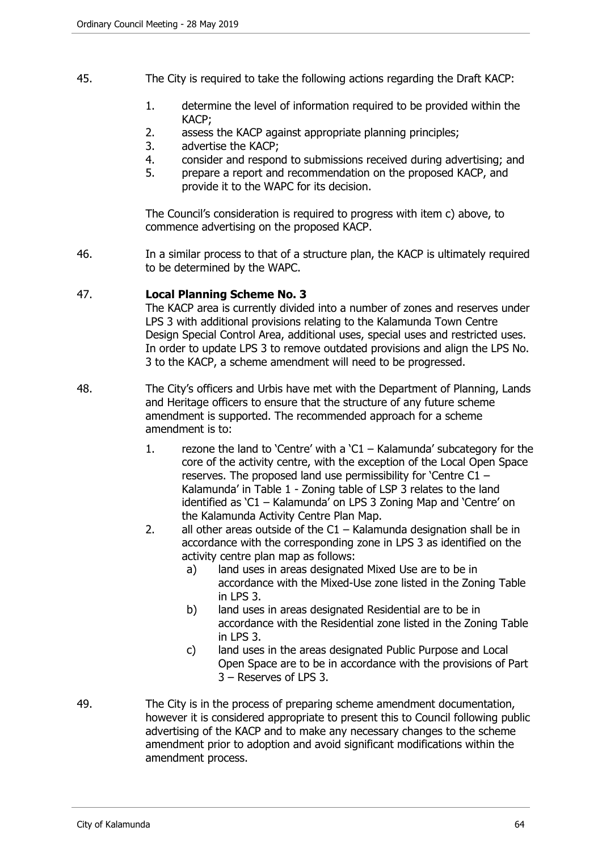- 45. The City is required to take the following actions regarding the Draft KACP:
	- 1. determine the level of information required to be provided within the KACP;
	- 2. assess the KACP against appropriate planning principles;
	- 3. advertise the KACP;
	- 4. consider and respond to submissions received during advertising; and
	- 5. prepare a report and recommendation on the proposed KACP, and provide it to the WAPC for its decision.

The Council's consideration is required to progress with item c) above, to commence advertising on the proposed KACP.

46. In a similar process to that of a structure plan, the KACP is ultimately required to be determined by the WAPC.

#### 47. **Local Planning Scheme No. 3**

The KACP area is currently divided into a number of zones and reserves under LPS 3 with additional provisions relating to the Kalamunda Town Centre Design Special Control Area, additional uses, special uses and restricted uses. In order to update LPS 3 to remove outdated provisions and align the LPS No. 3 to the KACP, a scheme amendment will need to be progressed.

- 48. The City's officers and Urbis have met with the Department of Planning, Lands and Heritage officers to ensure that the structure of any future scheme amendment is supported. The recommended approach for a scheme amendment is to:
	- 1. rezone the land to 'Centre' with a 'C1 Kalamunda' subcategory for the core of the activity centre, with the exception of the Local Open Space reserves. The proposed land use permissibility for 'Centre C1 – Kalamunda' in Table 1 - Zoning table of LSP 3 relates to the land identified as 'C1 – Kalamunda' on LPS 3 Zoning Map and 'Centre' on the Kalamunda Activity Centre Plan Map.
	- 2. all other areas outside of the C1 Kalamunda designation shall be in accordance with the corresponding zone in LPS 3 as identified on the activity centre plan map as follows:
		- a) land uses in areas designated Mixed Use are to be in accordance with the Mixed-Use zone listed in the Zoning Table in LPS 3.
		- b) land uses in areas designated Residential are to be in accordance with the Residential zone listed in the Zoning Table in LPS 3.
		- c) land uses in the areas designated Public Purpose and Local Open Space are to be in accordance with the provisions of Part 3 – Reserves of LPS 3.
- 49. The City is in the process of preparing scheme amendment documentation, however it is considered appropriate to present this to Council following public advertising of the KACP and to make any necessary changes to the scheme amendment prior to adoption and avoid significant modifications within the amendment process.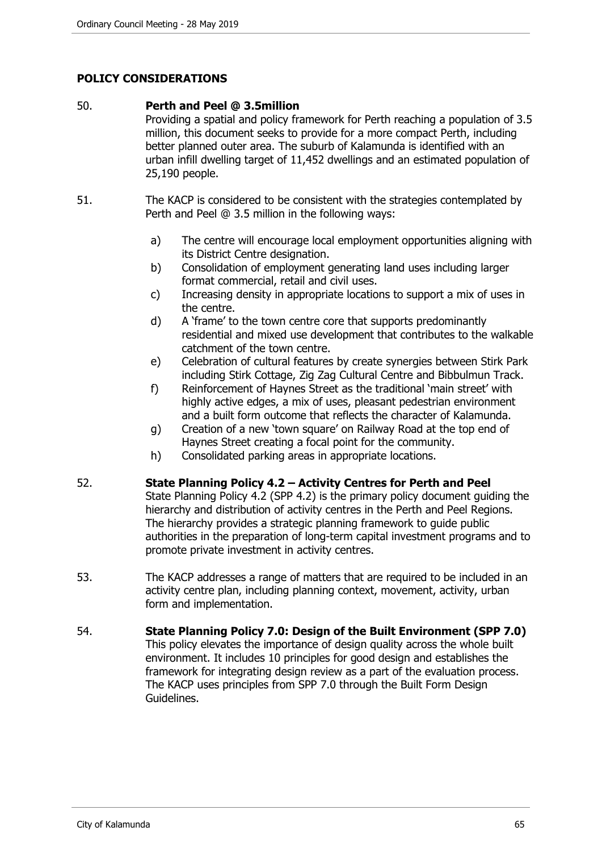# **POLICY CONSIDERATIONS**

#### 50. **Perth and Peel @ 3.5million**

Providing a spatial and policy framework for Perth reaching a population of 3.5 million, this document seeks to provide for a more compact Perth, including better planned outer area. The suburb of Kalamunda is identified with an urban infill dwelling target of 11,452 dwellings and an estimated population of 25,190 people.

- 51. The KACP is considered to be consistent with the strategies contemplated by Perth and Peel @ 3.5 million in the following ways:
	- a) The centre will encourage local employment opportunities aligning with its District Centre designation.
	- b) Consolidation of employment generating land uses including larger format commercial, retail and civil uses.
	- c) Increasing density in appropriate locations to support a mix of uses in the centre.
	- d) A 'frame' to the town centre core that supports predominantly residential and mixed use development that contributes to the walkable catchment of the town centre.
	- e) Celebration of cultural features by create synergies between Stirk Park including Stirk Cottage, Zig Zag Cultural Centre and Bibbulmun Track.
	- f) Reinforcement of Haynes Street as the traditional 'main street' with highly active edges, a mix of uses, pleasant pedestrian environment and a built form outcome that reflects the character of Kalamunda.
	- g) Creation of a new 'town square' on Railway Road at the top end of Haynes Street creating a focal point for the community.
	- h) Consolidated parking areas in appropriate locations.

#### 52. **State Planning Policy 4.2 – Activity Centres for Perth and Peel**

- State Planning Policy 4.2 (SPP 4.2) is the primary policy document guiding the hierarchy and distribution of activity centres in the Perth and Peel Regions. The hierarchy provides a strategic planning framework to guide public authorities in the preparation of long-term capital investment programs and to promote private investment in activity centres.
- 53. The KACP addresses a range of matters that are required to be included in an activity centre plan, including planning context, movement, activity, urban form and implementation.
- 54. **State Planning Policy 7.0: Design of the Built Environment (SPP 7.0)**  This policy elevates the importance of design quality across the whole built environment. It includes 10 principles for good design and establishes the framework for integrating design review as a part of the evaluation process. The KACP uses principles from SPP 7.0 through the Built Form Design Guidelines.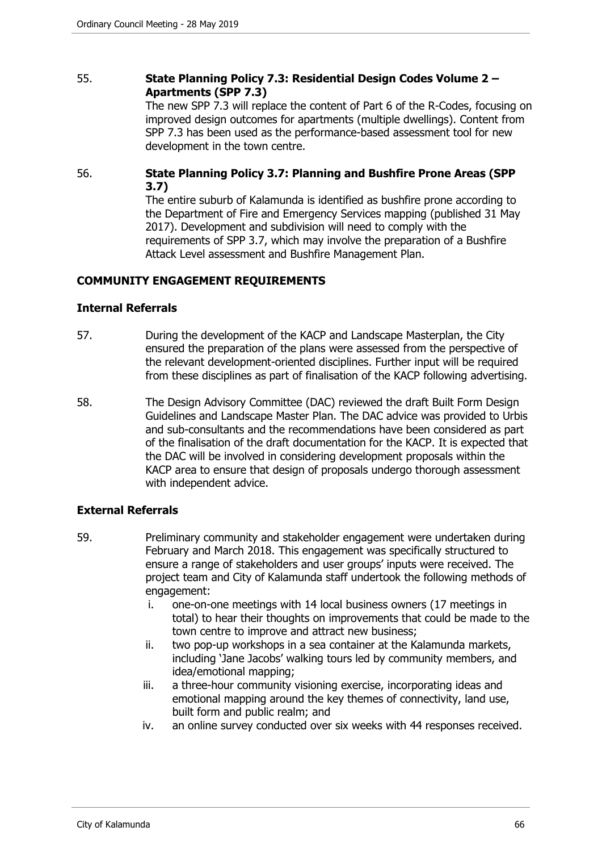## 55. **State Planning Policy 7.3: Residential Design Codes Volume 2 – Apartments (SPP 7.3)**

The new SPP 7.3 will replace the content of Part 6 of the R-Codes, focusing on improved design outcomes for apartments (multiple dwellings). Content from SPP 7.3 has been used as the performance-based assessment tool for new development in the town centre.

# 56. **State Planning Policy 3.7: Planning and Bushfire Prone Areas (SPP 3.7)**

The entire suburb of Kalamunda is identified as bushfire prone according to the Department of Fire and Emergency Services mapping (published 31 May 2017). Development and subdivision will need to comply with the requirements of SPP 3.7, which may involve the preparation of a Bushfire Attack Level assessment and Bushfire Management Plan.

# **COMMUNITY ENGAGEMENT REQUIREMENTS**

## **Internal Referrals**

- 57. During the development of the KACP and Landscape Masterplan, the City ensured the preparation of the plans were assessed from the perspective of the relevant development-oriented disciplines. Further input will be required from these disciplines as part of finalisation of the KACP following advertising.
- 58. The Design Advisory Committee (DAC) reviewed the draft Built Form Design Guidelines and Landscape Master Plan. The DAC advice was provided to Urbis and sub-consultants and the recommendations have been considered as part of the finalisation of the draft documentation for the KACP. It is expected that the DAC will be involved in considering development proposals within the KACP area to ensure that design of proposals undergo thorough assessment with independent advice.

# **External Referrals**

- 59. Preliminary community and stakeholder engagement were undertaken during February and March 2018. This engagement was specifically structured to ensure a range of stakeholders and user groups' inputs were received. The project team and City of Kalamunda staff undertook the following methods of engagement:
	- i. one-on-one meetings with 14 local business owners (17 meetings in total) to hear their thoughts on improvements that could be made to the town centre to improve and attract new business;
	- ii. two pop-up workshops in a sea container at the Kalamunda markets, including 'Jane Jacobs' walking tours led by community members, and idea/emotional mapping;
	- iii. a three-hour community visioning exercise, incorporating ideas and emotional mapping around the key themes of connectivity, land use, built form and public realm; and
	- iv. an online survey conducted over six weeks with 44 responses received.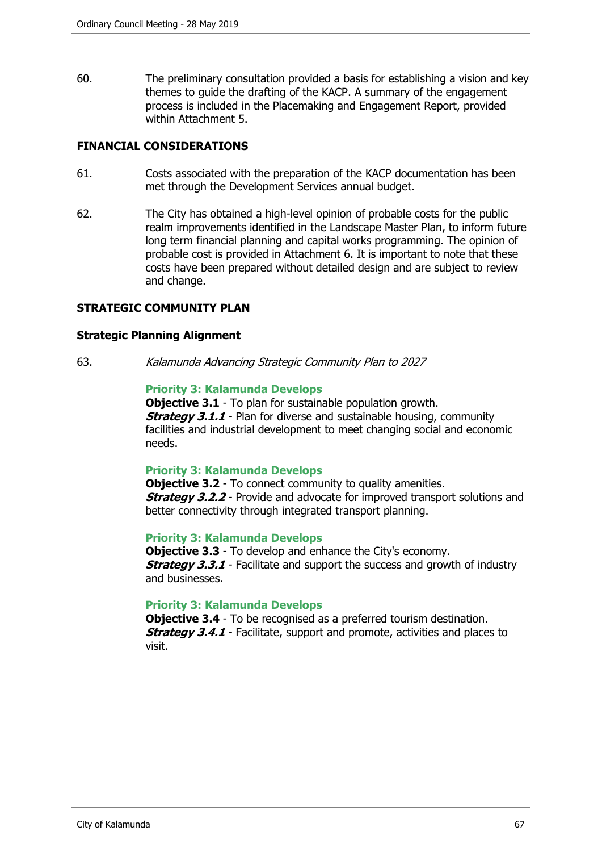60. The preliminary consultation provided a basis for establishing a vision and key themes to guide the drafting of the KACP. A summary of the engagement process is included in the Placemaking and Engagement Report, provided within Attachment 5.

# **FINANCIAL CONSIDERATIONS**

- 61. Costs associated with the preparation of the KACP documentation has been met through the Development Services annual budget.
- 62. The City has obtained a high-level opinion of probable costs for the public realm improvements identified in the Landscape Master Plan, to inform future long term financial planning and capital works programming. The opinion of probable cost is provided in Attachment 6. It is important to note that these costs have been prepared without detailed design and are subject to review and change.

## **STRATEGIC COMMUNITY PLAN**

#### **Strategic Planning Alignment**

63. Kalamunda Advancing Strategic Community Plan to 2027

#### **Priority 3: Kalamunda Develops**

**Objective 3.1** - To plan for sustainable population growth. **Strategy 3.1.1** - Plan for diverse and sustainable housing, community facilities and industrial development to meet changing social and economic needs.

#### **Priority 3: Kalamunda Develops**

**Objective 3.2** - To connect community to quality amenities. **Strategy 3.2.2** - Provide and advocate for improved transport solutions and better connectivity through integrated transport planning.

#### **Priority 3: Kalamunda Develops**

**Objective 3.3** - To develop and enhance the City's economy. **Strategy 3.3.1** - Facilitate and support the success and growth of industry and businesses.

#### **Priority 3: Kalamunda Develops**

**Objective 3.4** - To be recognised as a preferred tourism destination. **Strategy 3.4.1** - Facilitate, support and promote, activities and places to visit.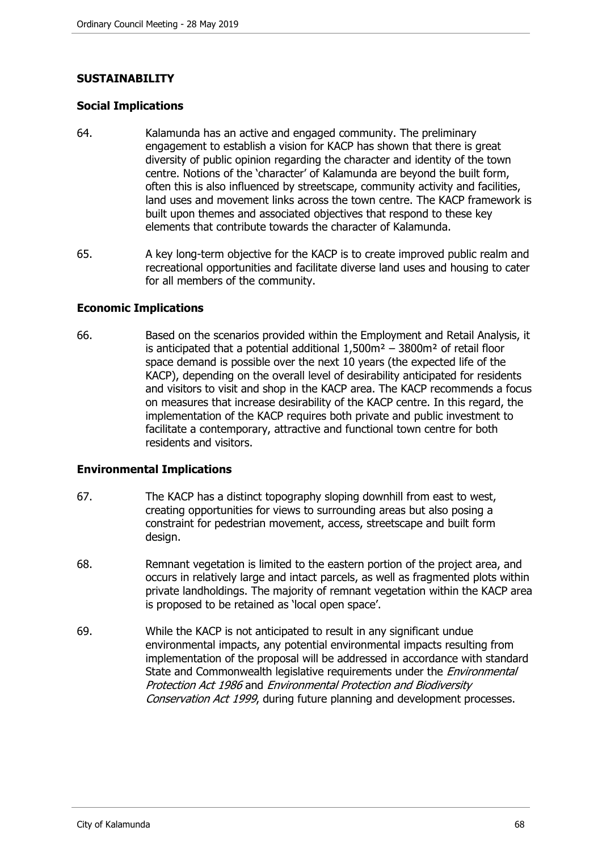# **SUSTAINABILITY**

#### **Social Implications**

- 64. Kalamunda has an active and engaged community. The preliminary engagement to establish a vision for KACP has shown that there is great diversity of public opinion regarding the character and identity of the town centre. Notions of the 'character' of Kalamunda are beyond the built form, often this is also influenced by streetscape, community activity and facilities, land uses and movement links across the town centre. The KACP framework is built upon themes and associated objectives that respond to these key elements that contribute towards the character of Kalamunda.
- 65. A key long-term objective for the KACP is to create improved public realm and recreational opportunities and facilitate diverse land uses and housing to cater for all members of the community.

#### **Economic Implications**

66. Based on the scenarios provided within the Employment and Retail Analysis, it is anticipated that a potential additional  $1,500m^2 - 3800m^2$  of retail floor space demand is possible over the next 10 years (the expected life of the KACP), depending on the overall level of desirability anticipated for residents and visitors to visit and shop in the KACP area. The KACP recommends a focus on measures that increase desirability of the KACP centre. In this regard, the implementation of the KACP requires both private and public investment to facilitate a contemporary, attractive and functional town centre for both residents and visitors.

#### **Environmental Implications**

- 67. The KACP has a distinct topography sloping downhill from east to west, creating opportunities for views to surrounding areas but also posing a constraint for pedestrian movement, access, streetscape and built form design.
- 68. Remnant vegetation is limited to the eastern portion of the project area, and occurs in relatively large and intact parcels, as well as fragmented plots within private landholdings. The majority of remnant vegetation within the KACP area is proposed to be retained as 'local open space'.
- 69. While the KACP is not anticipated to result in any significant undue environmental impacts, any potential environmental impacts resulting from implementation of the proposal will be addressed in accordance with standard State and Commonwealth legislative requirements under the *Environmental* Protection Act 1986 and Environmental Protection and Biodiversity Conservation Act 1999, during future planning and development processes.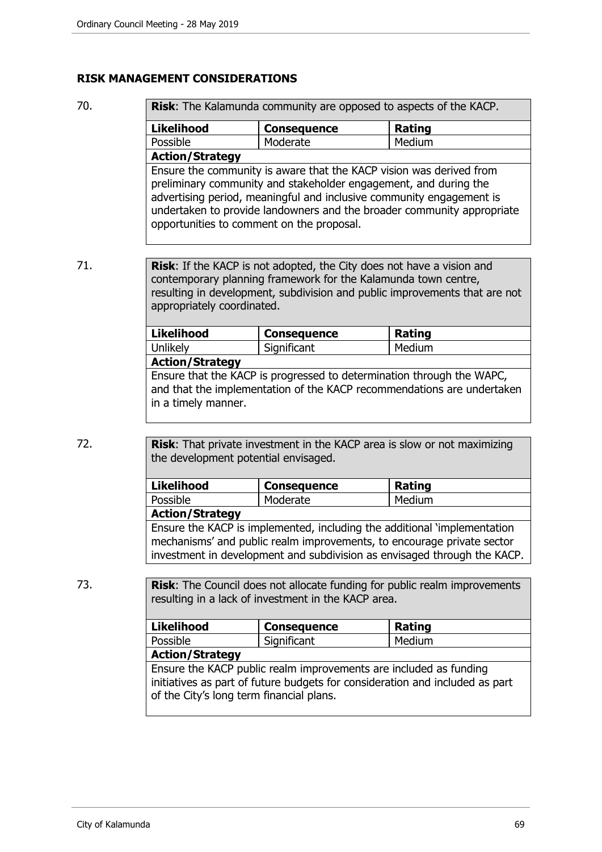#### **RISK MANAGEMENT CONSIDERATIONS**

| 70. |                   | Risk: The Kalamunda community are opposed to aspects of the KACP.                                                                                                                                               |        |  |  |
|-----|-------------------|-----------------------------------------------------------------------------------------------------------------------------------------------------------------------------------------------------------------|--------|--|--|
|     | <b>Likelihood</b> | <b>Consequence</b>                                                                                                                                                                                              | Rating |  |  |
|     | Possible          | Moderate                                                                                                                                                                                                        | Medium |  |  |
|     |                   | <b>Action/Strategy</b>                                                                                                                                                                                          |        |  |  |
|     |                   | Ensure the community is aware that the KACP vision was derived from<br>preliminary community and stakeholder engagement, and during the<br>advertising period, meaningful and inclusive community engagement is |        |  |  |
|     |                   | undertaken to provide landowners and the broader community appropriate                                                                                                                                          |        |  |  |

71. **Risk**: If the KACP is not adopted, the City does not have a vision and contemporary planning framework for the Kalamunda town centre, resulting in development, subdivision and public improvements that are not appropriately coordinated.

| <b>Likelihood</b>      | <b>Consequence</b> | Rating |
|------------------------|--------------------|--------|
| Unlikely               | Significant        | Medium |
| <b>Action/Strategy</b> |                    |        |

Ensure that the KACP is progressed to determination through the WAPC, and that the implementation of the KACP recommendations are undertaken in a timely manner.

72. **Risk**: That private investment in the KACP area is slow or not maximizing the development potential envisaged.

opportunities to comment on the proposal.

| <b>Likelihood</b>                                                        | <b>Consequence</b> | Rating |  |
|--------------------------------------------------------------------------|--------------------|--------|--|
| Possible                                                                 | Moderate           | Medium |  |
| <b>Action/Strategy</b>                                                   |                    |        |  |
| Ensure the KACP is implemented, including the additional 'implementation |                    |        |  |
| mechanisms' and public realm improvements, to encourage private sector   |                    |        |  |
| investment in development and subdivision as envisaged through the KACP. |                    |        |  |

73. **Risk**: The Council does not allocate funding for public realm improvements resulting in a lack of investment in the KACP area.

| <b>Likelihood</b>                                                                                                                                                                             | <b>Consequence</b> | Rating |  |  |
|-----------------------------------------------------------------------------------------------------------------------------------------------------------------------------------------------|--------------------|--------|--|--|
| Possible                                                                                                                                                                                      | Significant        | Medium |  |  |
| <b>Action/Strategy</b>                                                                                                                                                                        |                    |        |  |  |
| Ensure the KACP public realm improvements are included as funding<br>initiatives as part of future budgets for consideration and included as part<br>of the City's long term financial plans. |                    |        |  |  |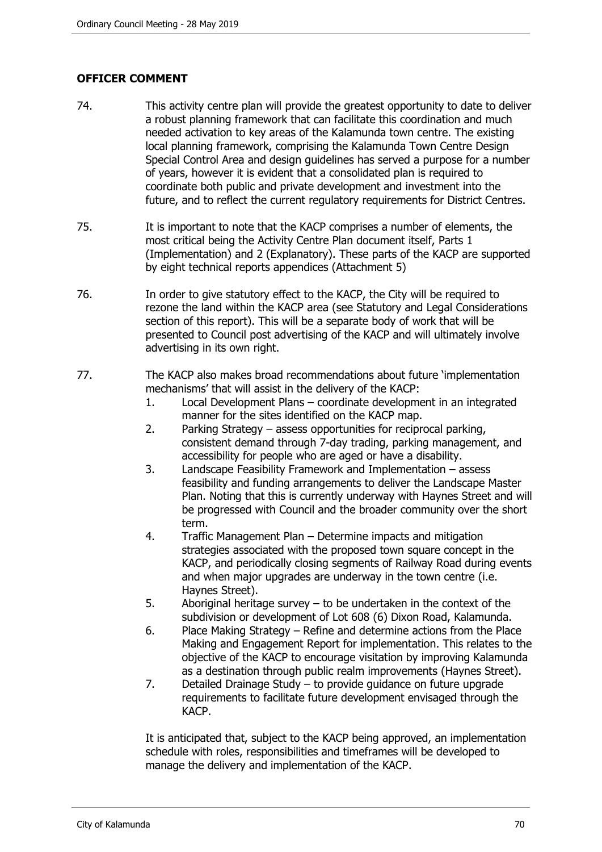# **OFFICER COMMENT**

- 74. This activity centre plan will provide the greatest opportunity to date to deliver a robust planning framework that can facilitate this coordination and much needed activation to key areas of the Kalamunda town centre. The existing local planning framework, comprising the Kalamunda Town Centre Design Special Control Area and design guidelines has served a purpose for a number of years, however it is evident that a consolidated plan is required to coordinate both public and private development and investment into the future, and to reflect the current regulatory requirements for District Centres.
- 75. It is important to note that the KACP comprises a number of elements, the most critical being the Activity Centre Plan document itself, Parts 1 (Implementation) and 2 (Explanatory). These parts of the KACP are supported by eight technical reports appendices (Attachment 5)
- 76. In order to give statutory effect to the KACP, the City will be required to rezone the land within the KACP area (see Statutory and Legal Considerations section of this report). This will be a separate body of work that will be presented to Council post advertising of the KACP and will ultimately involve advertising in its own right.
- 77. The KACP also makes broad recommendations about future 'implementation mechanisms' that will assist in the delivery of the KACP:
	- 1. Local Development Plans coordinate development in an integrated manner for the sites identified on the KACP map.
	- 2. Parking Strategy assess opportunities for reciprocal parking, consistent demand through 7-day trading, parking management, and accessibility for people who are aged or have a disability.
	- 3. Landscape Feasibility Framework and Implementation assess feasibility and funding arrangements to deliver the Landscape Master Plan. Noting that this is currently underway with Haynes Street and will be progressed with Council and the broader community over the short term.
	- 4. Traffic Management Plan Determine impacts and mitigation strategies associated with the proposed town square concept in the KACP, and periodically closing segments of Railway Road during events and when major upgrades are underway in the town centre (i.e. Haynes Street).
	- 5. Aboriginal heritage survey to be undertaken in the context of the subdivision or development of Lot 608 (6) Dixon Road, Kalamunda.
	- 6. Place Making Strategy Refine and determine actions from the Place Making and Engagement Report for implementation. This relates to the objective of the KACP to encourage visitation by improving Kalamunda as a destination through public realm improvements (Haynes Street).
	- 7. Detailed Drainage Study to provide guidance on future upgrade requirements to facilitate future development envisaged through the KACP.

It is anticipated that, subject to the KACP being approved, an implementation schedule with roles, responsibilities and timeframes will be developed to manage the delivery and implementation of the KACP.